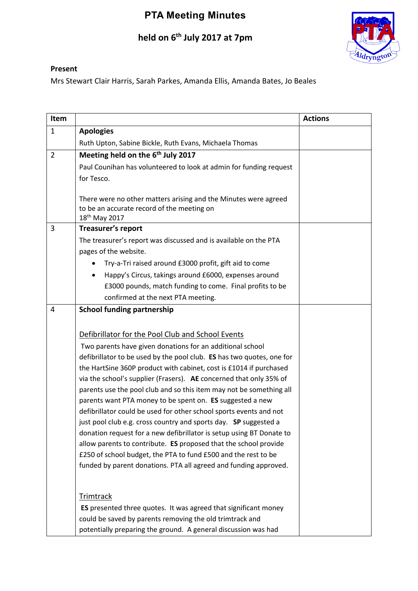## **PTA Meeting Minutes**

## **held on 6 th July 2017 at 7pm**



## **Present**

Mrs Stewart Clair Harris, Sarah Parkes, Amanda Ellis, Amanda Bates, Jo Beales

| Item           |                                                                                                                                  | <b>Actions</b> |
|----------------|----------------------------------------------------------------------------------------------------------------------------------|----------------|
| $\mathbf{1}$   | <b>Apologies</b>                                                                                                                 |                |
|                | Ruth Upton, Sabine Bickle, Ruth Evans, Michaela Thomas                                                                           |                |
| $\overline{2}$ | Meeting held on the 6 <sup>th</sup> July 2017                                                                                    |                |
|                | Paul Counihan has volunteered to look at admin for funding request                                                               |                |
|                | for Tesco.                                                                                                                       |                |
|                |                                                                                                                                  |                |
|                | There were no other matters arising and the Minutes were agreed<br>to be an accurate record of the meeting on                    |                |
|                | 18 <sup>th</sup> May 2017                                                                                                        |                |
| 3              | Treasurer's report                                                                                                               |                |
|                | The treasurer's report was discussed and is available on the PTA                                                                 |                |
|                | pages of the website.                                                                                                            |                |
|                | Try-a-Tri raised around £3000 profit, gift aid to come                                                                           |                |
|                | Happy's Circus, takings around £6000, expenses around                                                                            |                |
|                | £3000 pounds, match funding to come. Final profits to be                                                                         |                |
|                | confirmed at the next PTA meeting.                                                                                               |                |
| 4              | <b>School funding partnership</b>                                                                                                |                |
|                |                                                                                                                                  |                |
|                | Defibrillator for the Pool Club and School Events                                                                                |                |
|                | Two parents have given donations for an additional school                                                                        |                |
|                | defibrillator to be used by the pool club. ES has two quotes, one for                                                            |                |
|                | the HartSine 360P product with cabinet, cost is £1014 if purchased                                                               |                |
|                | via the school's supplier (Frasers). AE concerned that only 35% of                                                               |                |
|                | parents use the pool club and so this item may not be something all<br>parents want PTA money to be spent on. ES suggested a new |                |
|                | defibrillator could be used for other school sports events and not                                                               |                |
|                | just pool club e.g. cross country and sports day. SP suggested a                                                                 |                |
|                | donation request for a new defibrillator is setup using BT Donate to                                                             |                |
|                | allow parents to contribute. ES proposed that the school provide                                                                 |                |
|                | £250 of school budget, the PTA to fund £500 and the rest to be                                                                   |                |
|                | funded by parent donations. PTA all agreed and funding approved.                                                                 |                |
|                |                                                                                                                                  |                |
|                | <b>Trimtrack</b>                                                                                                                 |                |
|                | ES presented three quotes. It was agreed that significant money                                                                  |                |
|                | could be saved by parents removing the old trimtrack and                                                                         |                |
|                | potentially preparing the ground. A general discussion was had                                                                   |                |